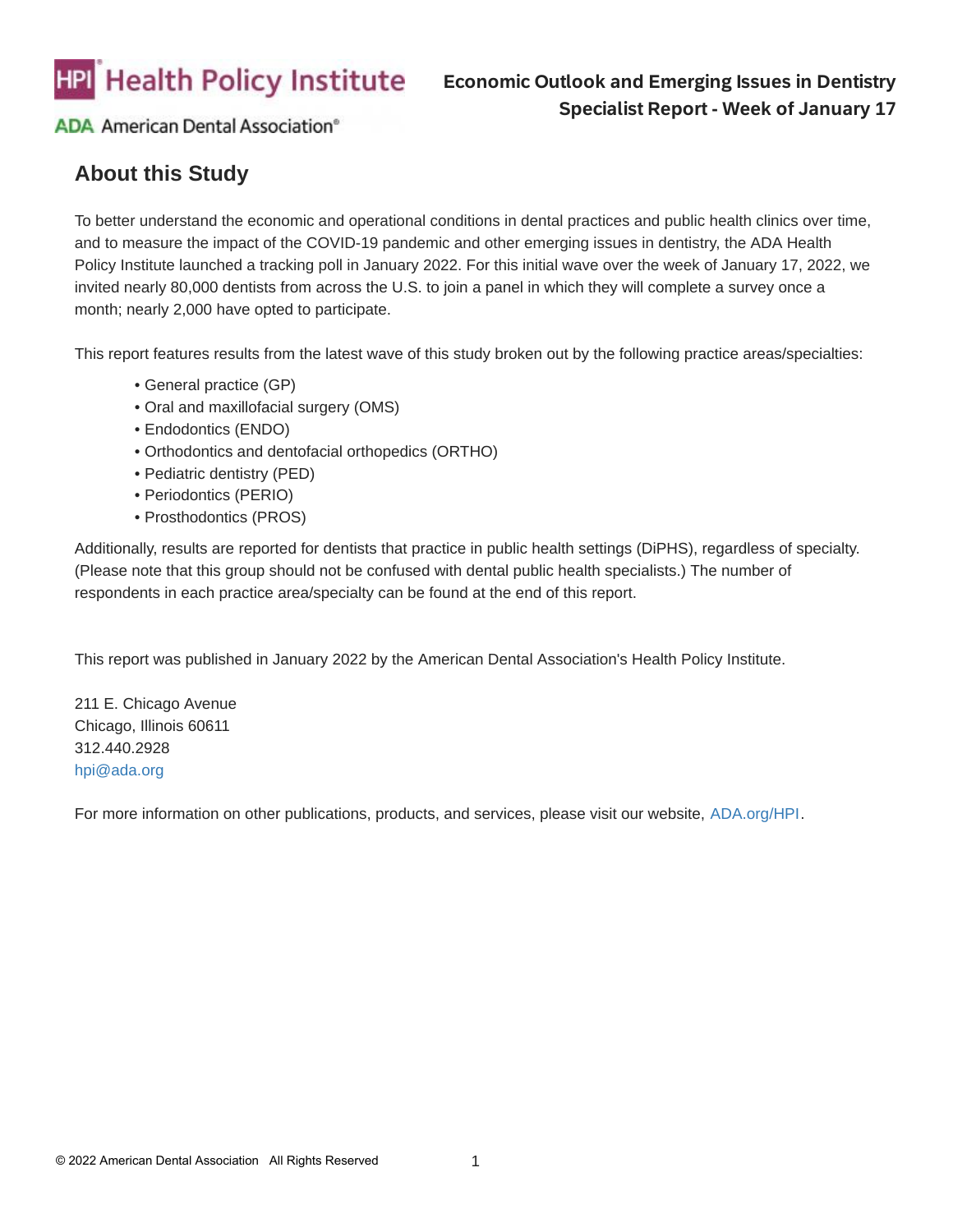

### **Economic Outlook and Emerging Issues in Dentistry Specialist Report - Week of January 17**

**ADA American Dental Association®** 

# **About this Study**

To better understand the economic and operational conditions in dental practices and public health clinics over time, and to measure the impact of the COVID-19 pandemic and other emerging issues in dentistry, the ADA Health Policy Institute launched a tracking poll in January 2022. For this initial wave over the week of January 17, 2022, we invited nearly 80,000 dentists from across the U.S. to join a panel in which they will complete a survey once a month; nearly 2,000 have opted to participate.

This report features results from the latest wave of this study broken out by the following practice areas/specialties:

- General practice (GP)
- Oral and maxillofacial surgery (OMS)
- Endodontics (ENDO)
- Orthodontics and dentofacial orthopedics (ORTHO)
- Pediatric dentistry (PED)
- Periodontics (PERIO)
- Prosthodontics (PROS)

Additionally, results are reported for dentists that practice in public health settings (DiPHS), regardless of specialty. (Please note that this group should not be confused with dental public health specialists.) The number of respondents in each practice area/specialty can be found at the end of this report.

This report was published in January 2022 by the American Dental Association's Health Policy Institute.

211 E. Chicago Avenue Chicago, Illinois 60611 312.440.2928 [hpi@ada.org](mailto:hpi@ada.org?subject=Question%20about%20the%20Economic%20Impact%20and%20Emerging%20Issues%20in%20Dentistry%20report)

For more information on other publications, products, and services, please visit our website, [ADA.org/HPI](https://www.ada.org/resources/research/health-policy-institute?utm_medium=vanityurl).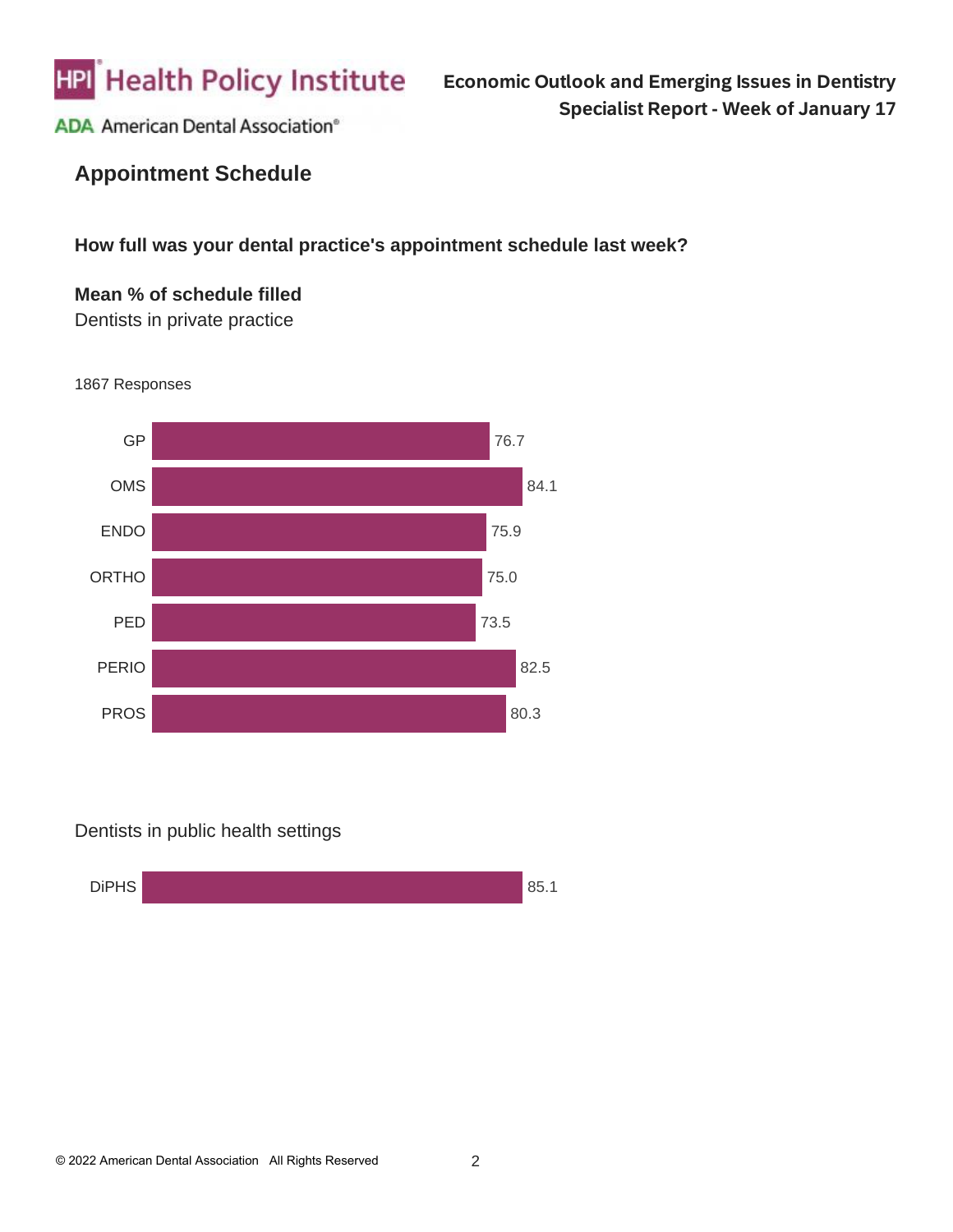

# **Appointment Schedule**

**How full was your dental practice's appointment schedule last week?**

### **Mean % of schedule filled** Dentists in private practice



1867 Responses

Dentists in public health settings

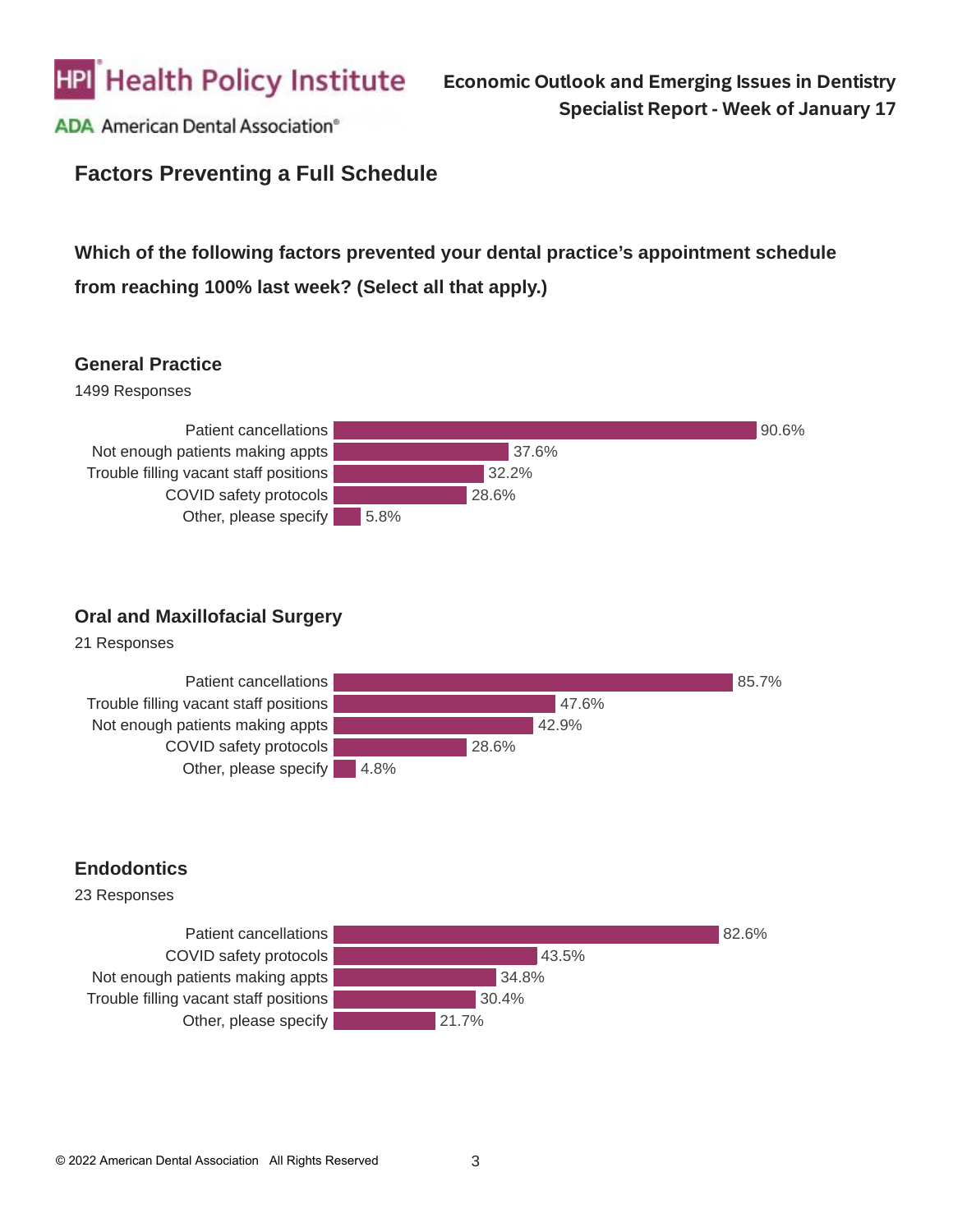

## **Factors Preventing a Full Schedule**

# **Which of the following factors prevented your dental practice's appointment schedule from reaching 100% last week? (Select all that apply.)**

#### **General Practice**





### **Oral and Maxillofacial Surgery**

21 Responses



### **Endodontics**

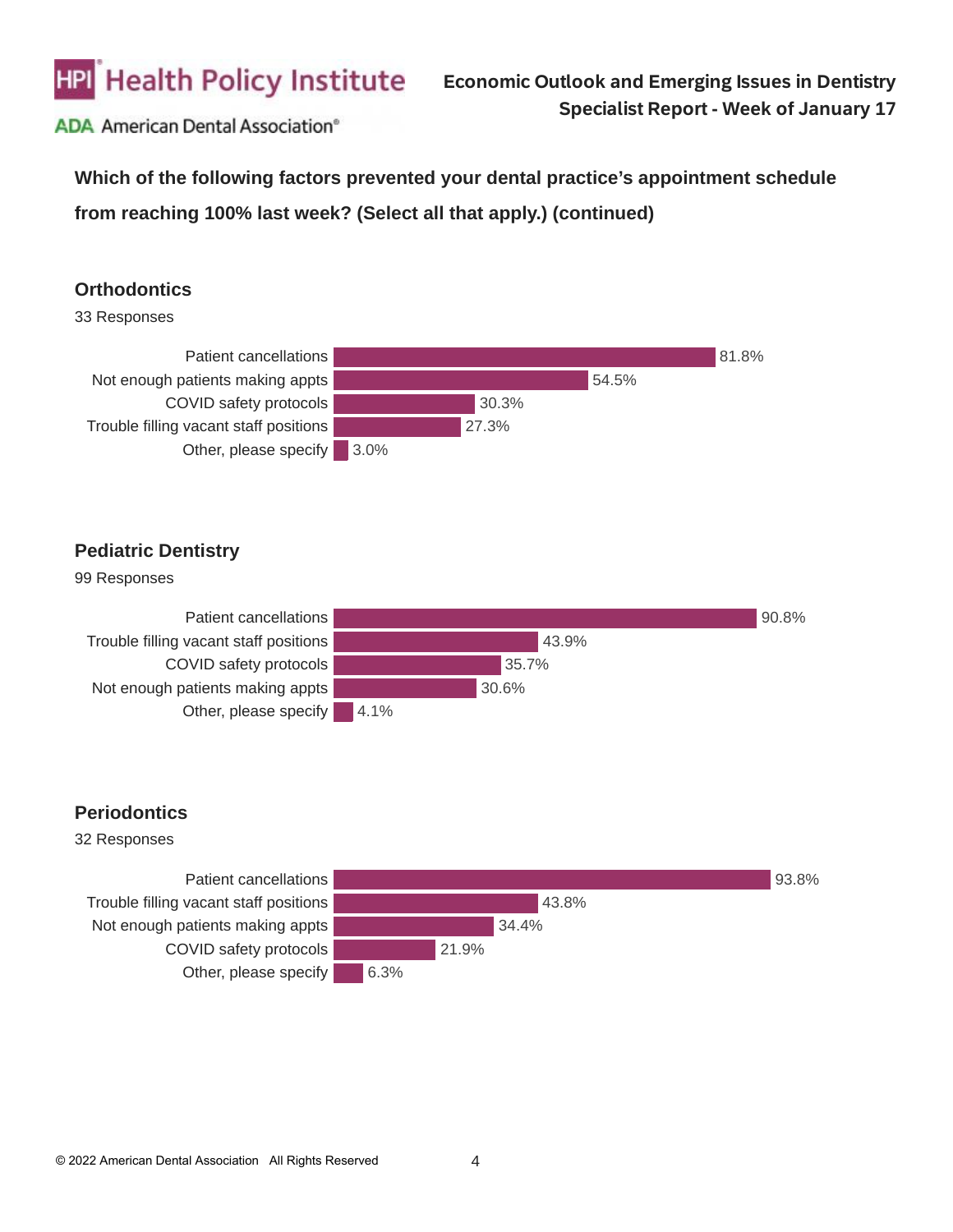

**Which of the following factors prevented your dental practice's appointment schedule from reaching 100% last week? (Select all that apply.) (continued)**

#### **Orthodontics**

33 Responses



#### **Pediatric Dentistry**



#### **Periodontics**

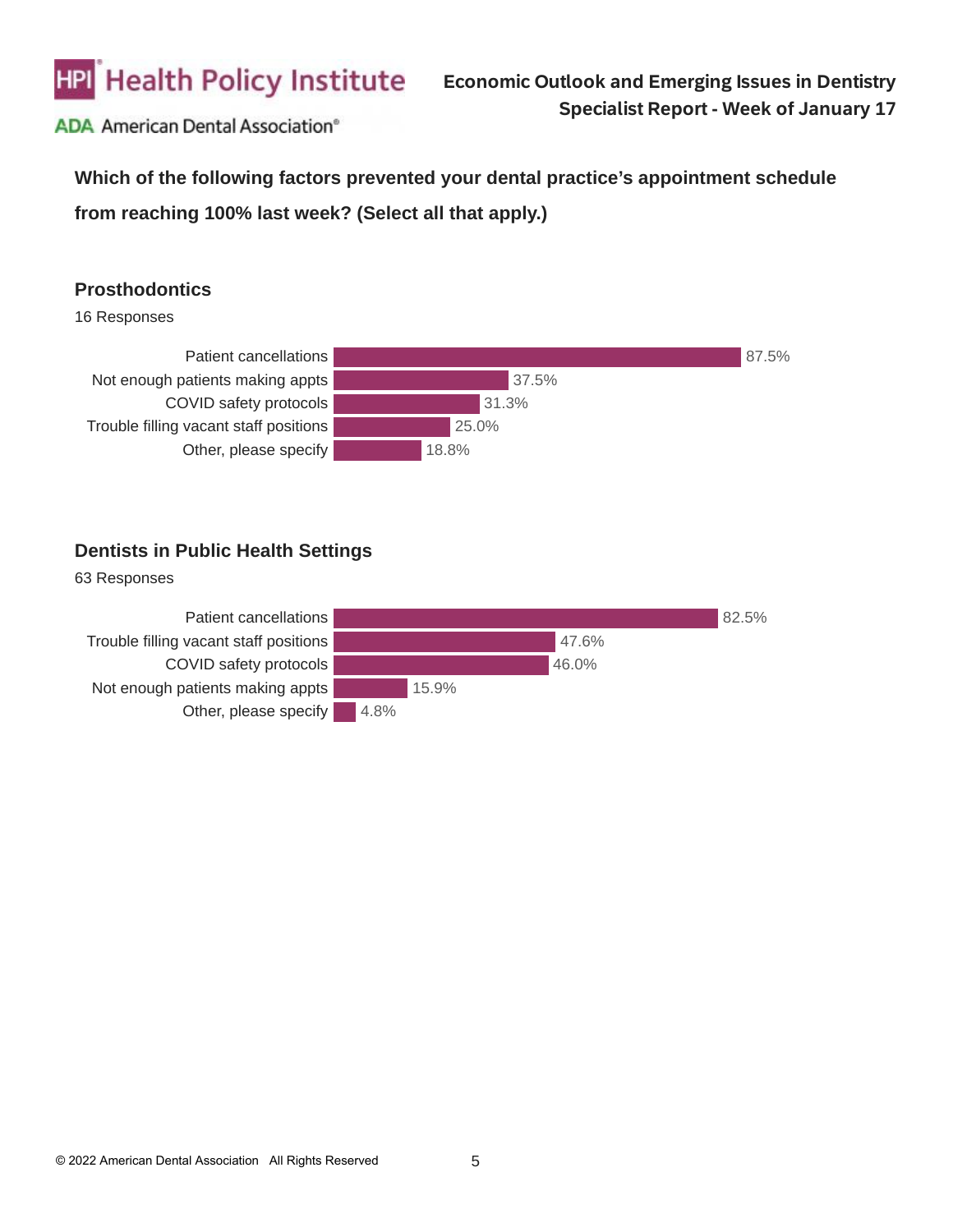

**Which of the following factors prevented your dental practice's appointment schedule from reaching 100% last week? (Select all that apply.)**

### **Prosthodontics**

16 Responses



### **Dentists in Public Health Settings**

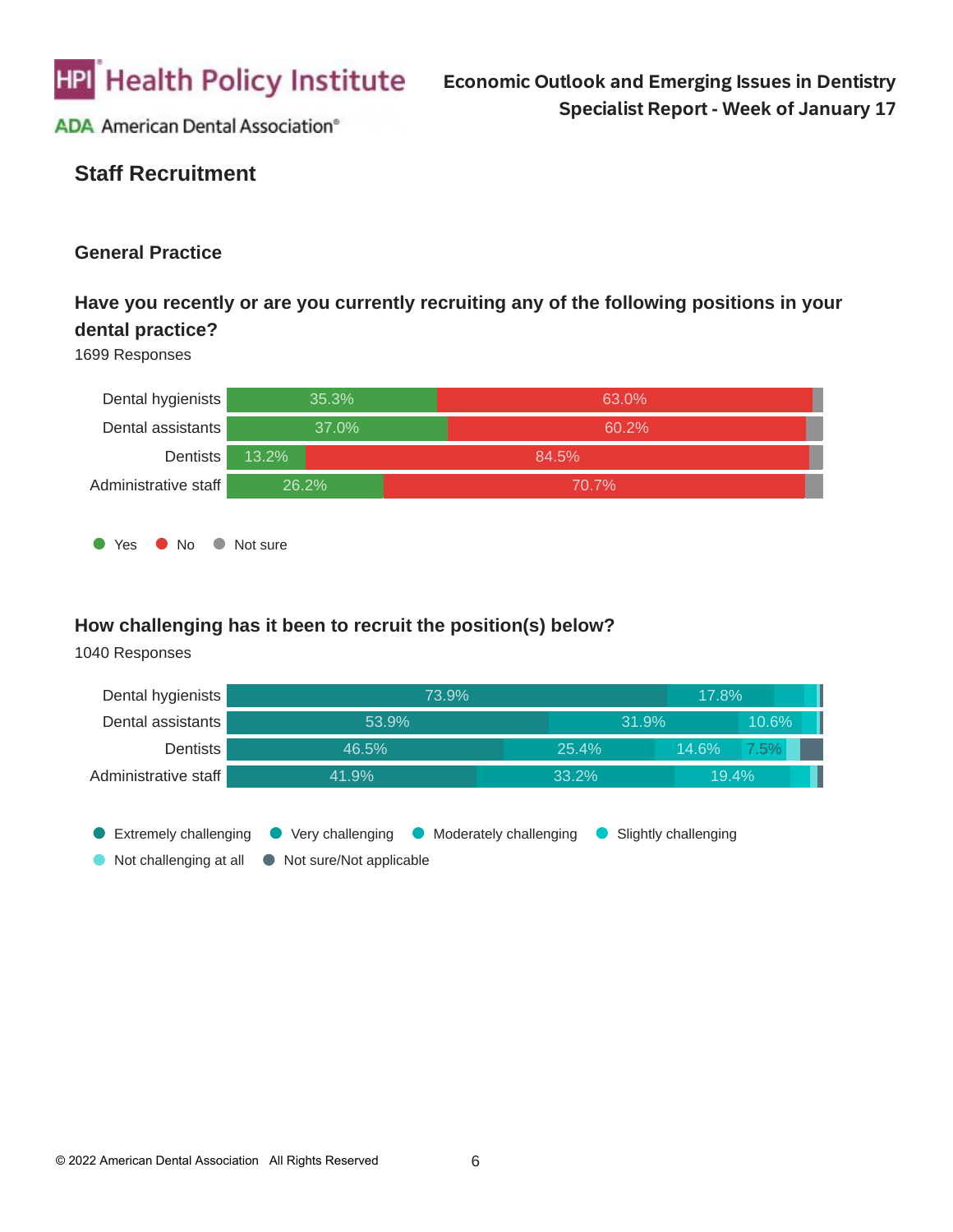

# **Staff Recruitment**

#### **General Practice**

## **Have you recently or are you currently recruiting any of the following positions in your dental practice?**

#### 1699 Responses



#### **How challenging has it been to recruit the position(s) below?**

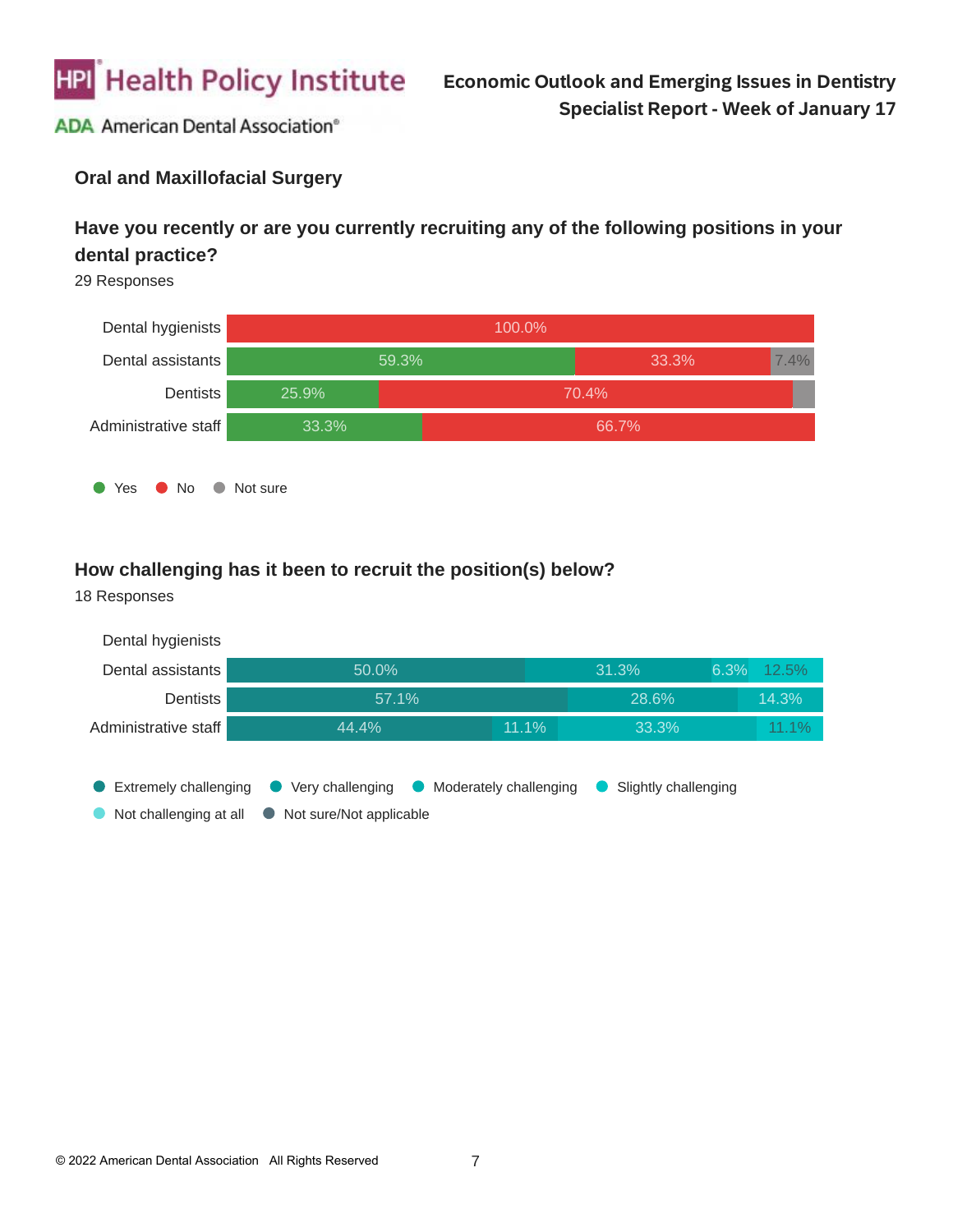

### **Oral and Maxillofacial Surgery**

## **Have you recently or are you currently recruiting any of the following positions in your dental practice?**

29 Responses



#### **How challenging has it been to recruit the position(s) below?**

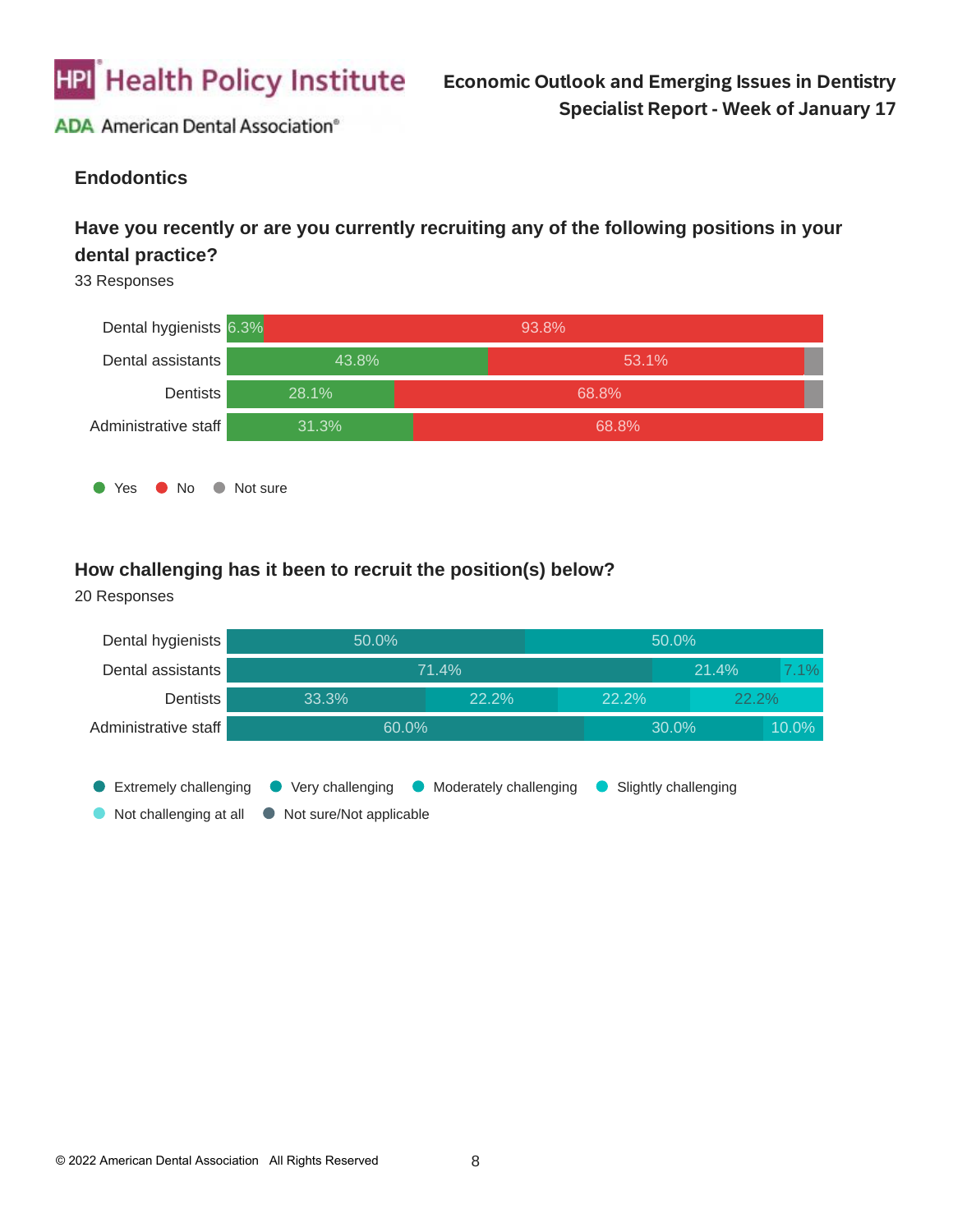

#### **Endodontics**

### **Have you recently or are you currently recruiting any of the following positions in your dental practice?**

33 Responses



#### **How challenging has it been to recruit the position(s) below?**

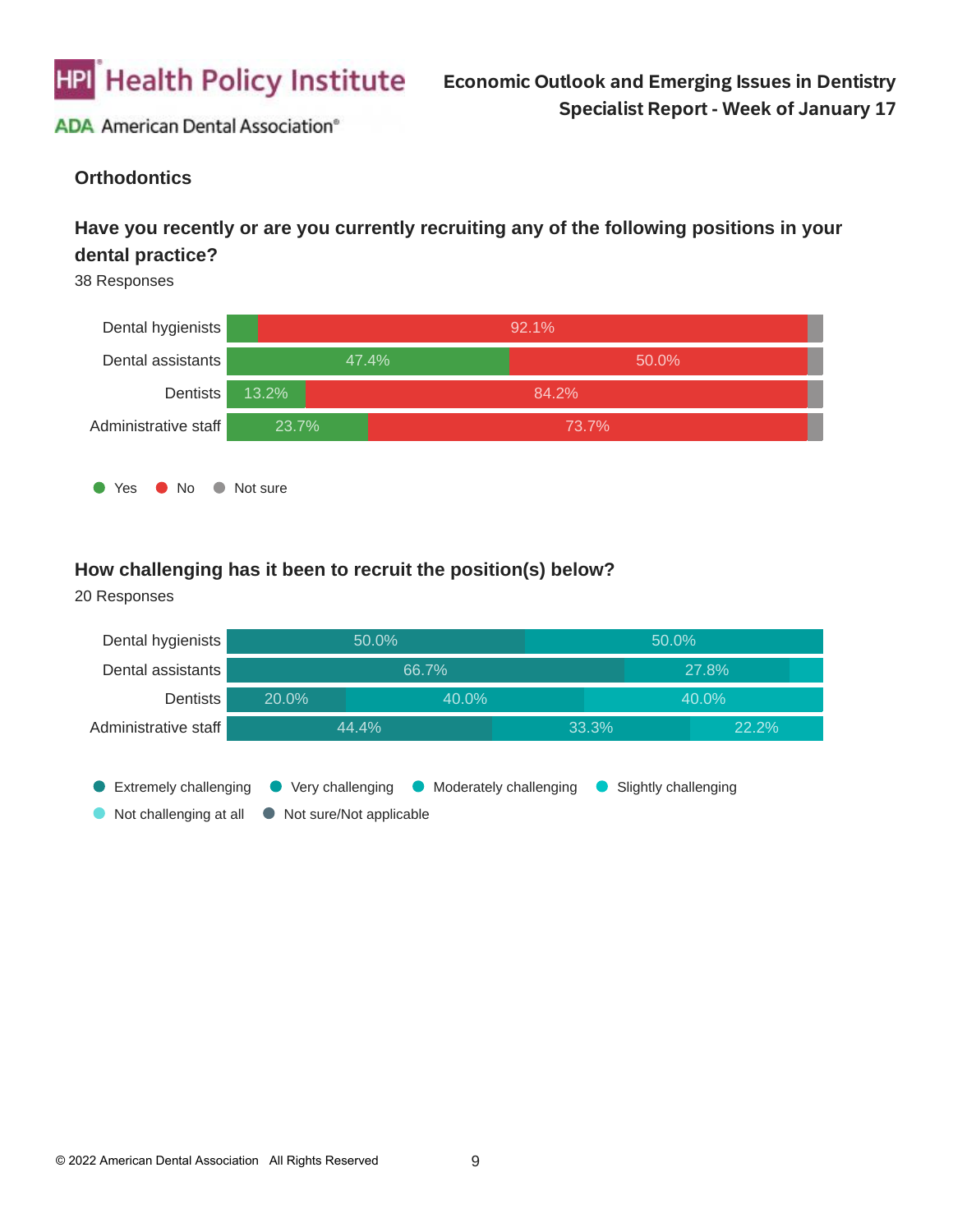

### **Orthodontics**

### **Have you recently or are you currently recruiting any of the following positions in your dental practice?**

38 Responses



#### **How challenging has it been to recruit the position(s) below?**

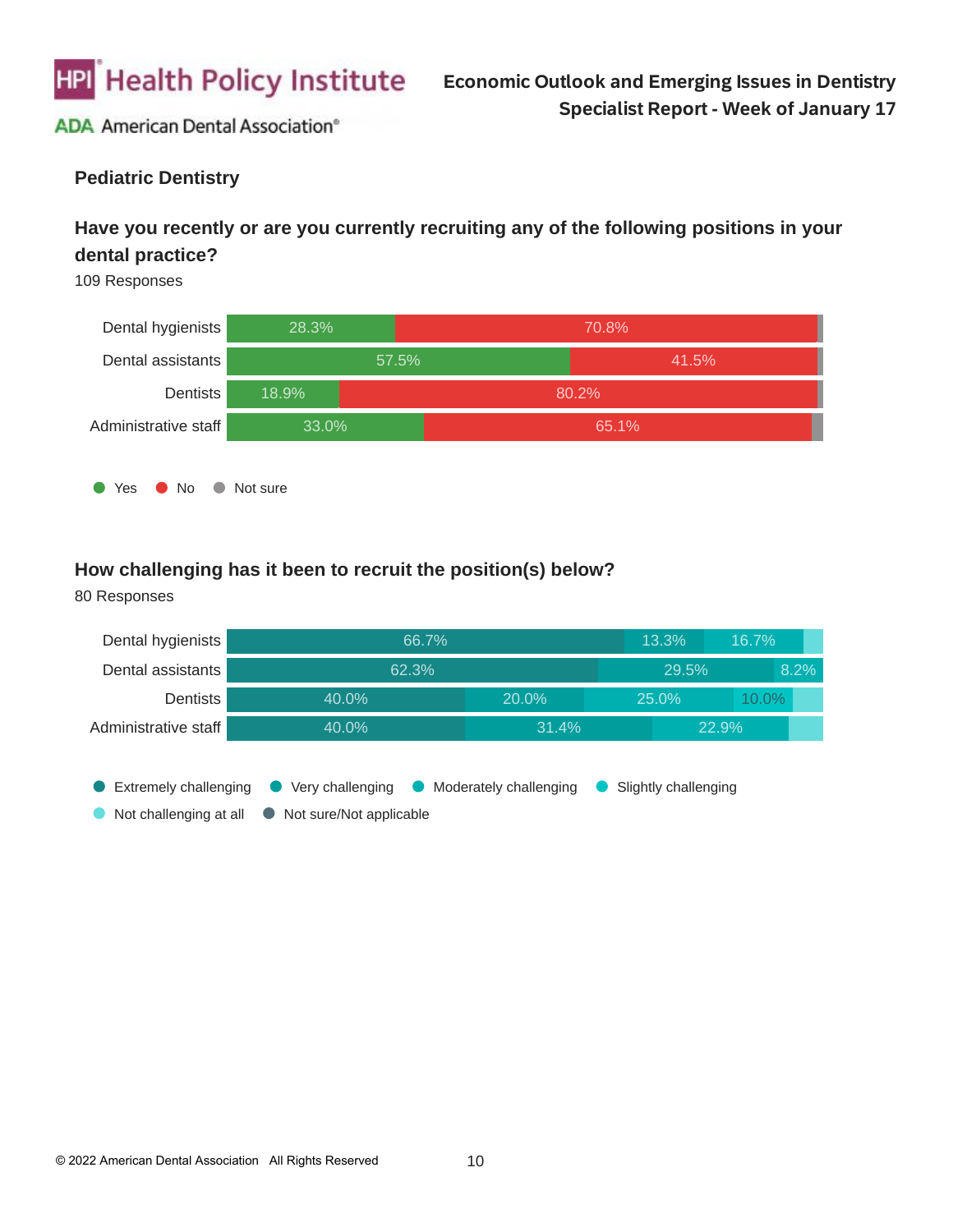

#### **Pediatric Dentistry**

### **Have you recently or are you currently recruiting any of the following positions in your dental practice?**

109 Responses



#### **How challenging has it been to recruit the position(s) below?**

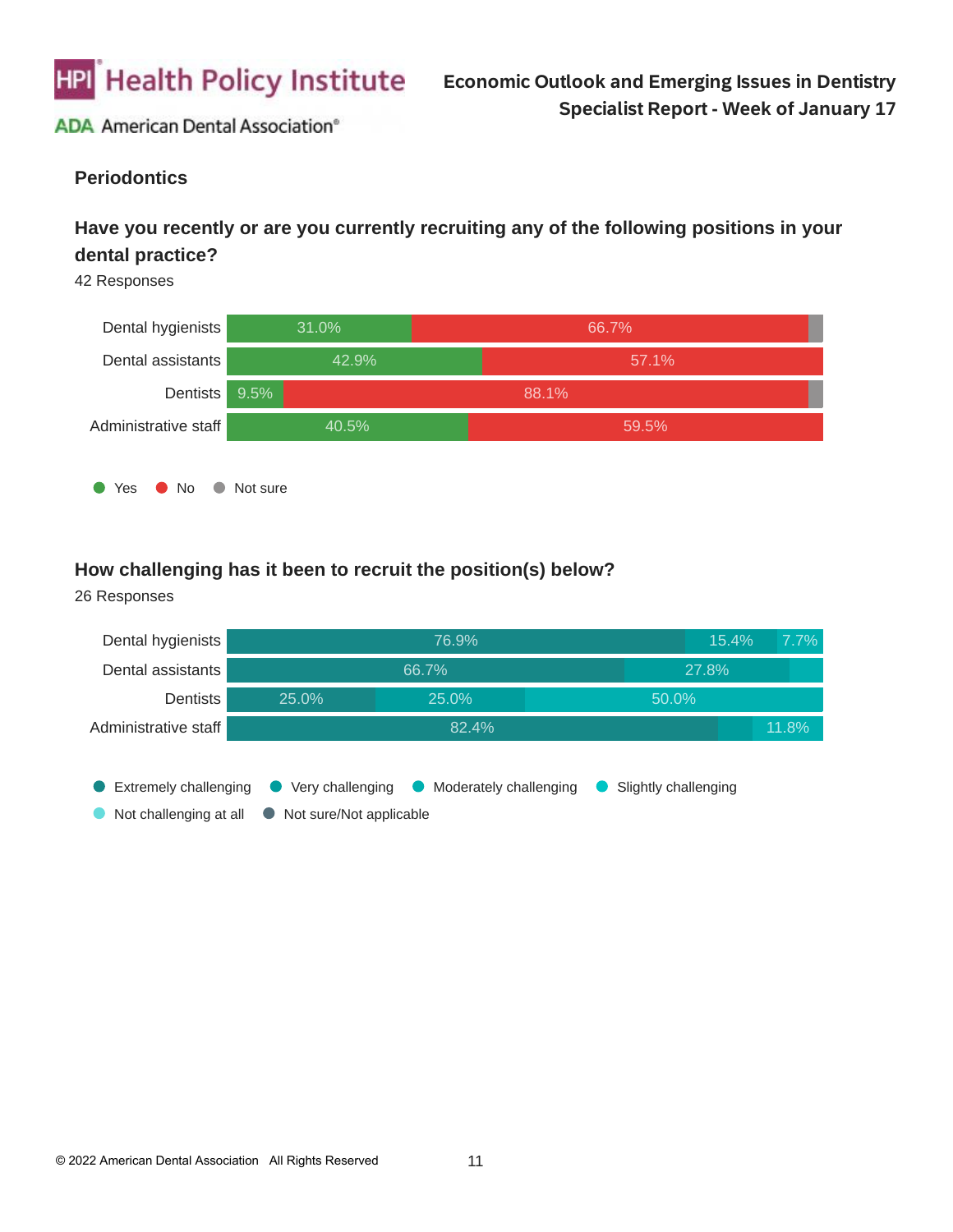

#### **Periodontics**

### **Have you recently or are you currently recruiting any of the following positions in your dental practice?**

42 Responses



#### **How challenging has it been to recruit the position(s) below?**

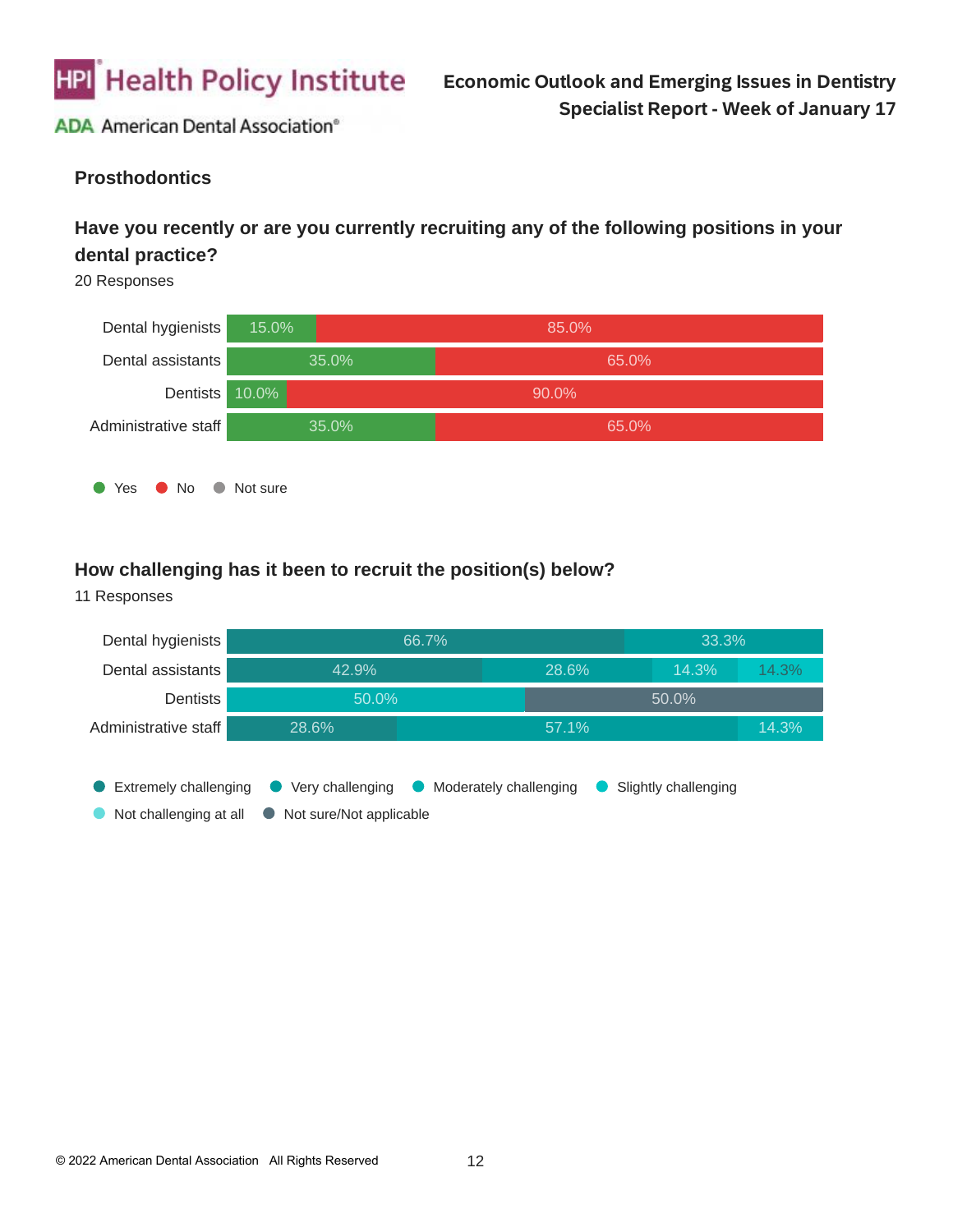

#### **Prosthodontics**

### **Have you recently or are you currently recruiting any of the following positions in your dental practice?**

20 Responses



#### **How challenging has it been to recruit the position(s) below?**

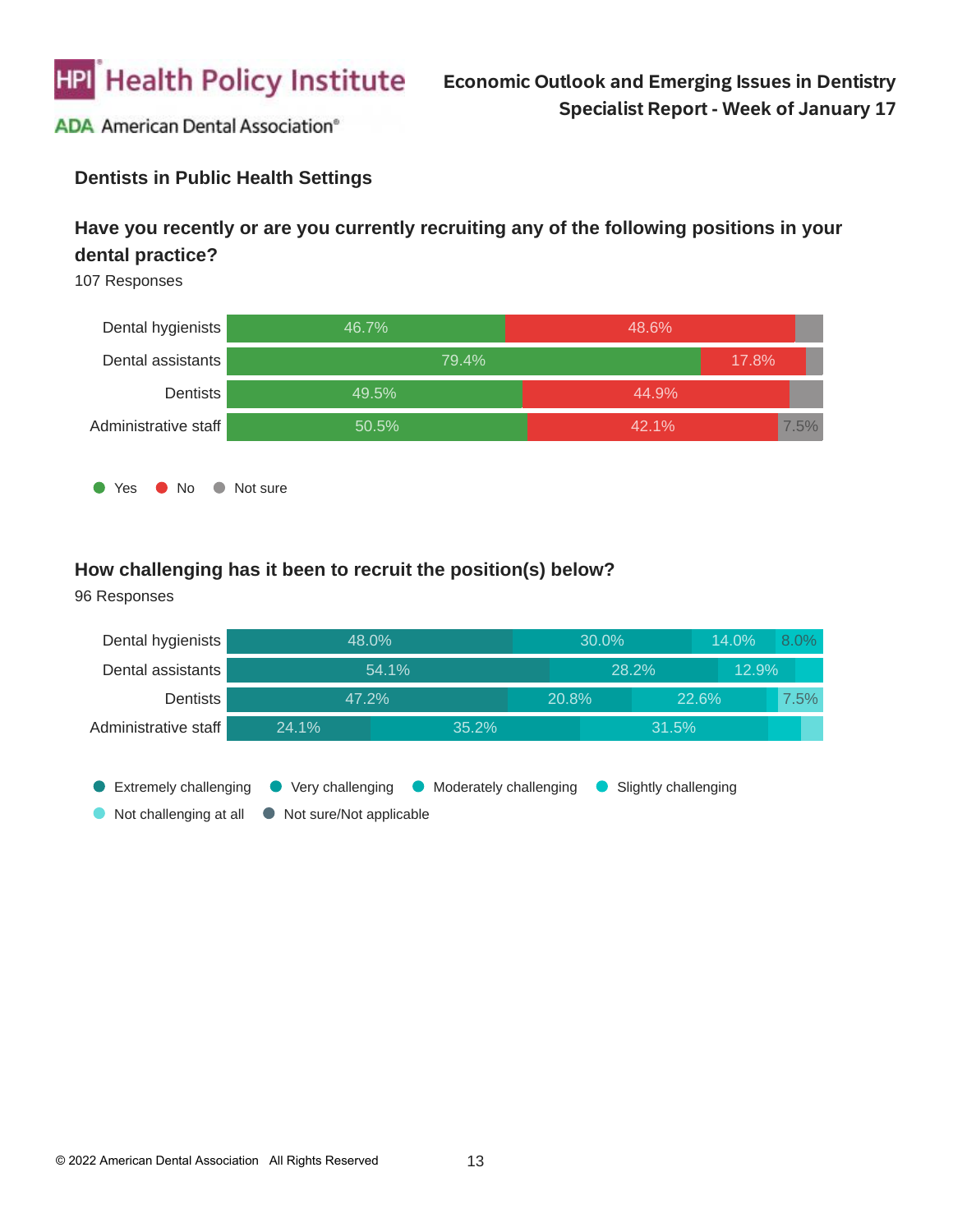

### **Dentists in Public Health Settings**

### **Have you recently or are you currently recruiting any of the following positions in your dental practice?**

107 Responses



#### **How challenging has it been to recruit the position(s) below?**

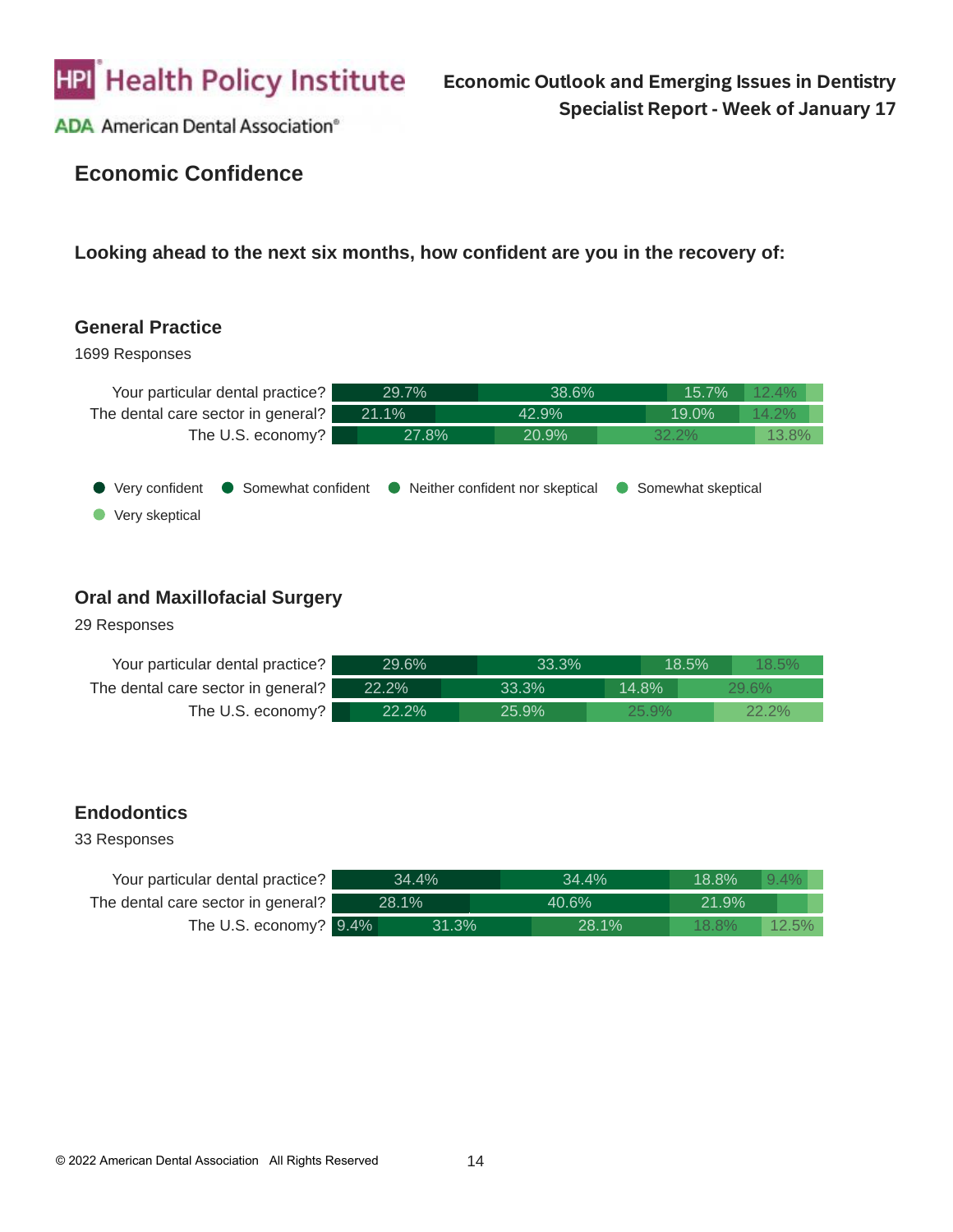

# **Economic Confidence**

**Looking ahead to the next six months, how confident are you in the recovery of:**

#### **General Practice**

1699 Responses



#### **Oral and Maxillofacial Surgery**

29 Responses

| Your particular dental practice?   | 29.6% | $33.3\%$ |          | 18.5% | 18.5%    |  |
|------------------------------------|-------|----------|----------|-------|----------|--|
| The dental care sector in general? | 22.2% | 33.3%    | 14.8%    |       | 29.6%    |  |
| The U.S. economy?                  | 22.2% | 25.9%    | $25.9\%$ |       | $22.2\%$ |  |

#### **Endodontics**

| Your particular dental practice?   | 34.4% | 34.4%        | $9.4\%$<br>18.8%     |
|------------------------------------|-------|--------------|----------------------|
| The dental care sector in general? | 28.1% | 40.6%        | 21.9%                |
| The U.S. economy? 9.4%             | 31.3% | <b>28.1%</b> | $18.8\%$<br>$12.5\%$ |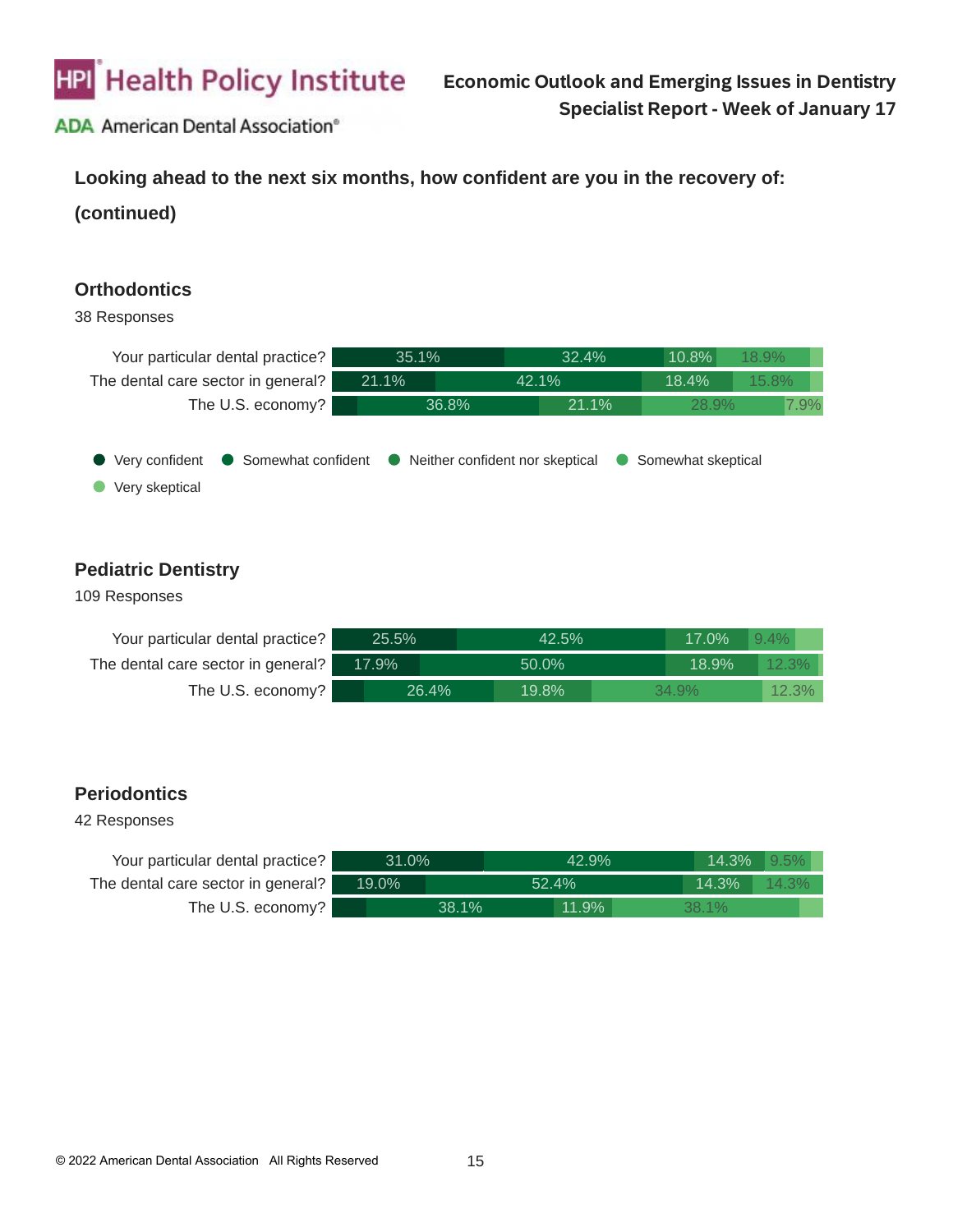

**Looking ahead to the next six months, how confident are you in the recovery of:**

**(continued)**

#### **Orthodontics**

#### 38 Responses



### **Pediatric Dentistry**

#### 109 Responses

| Your particular dental practice?   | 25.5% |       | $42.5\%$ |  | 17.0%<br>$9.4\%$ |       |  |
|------------------------------------|-------|-------|----------|--|------------------|-------|--|
| The dental care sector in general? | 17.9% |       | 50.0%    |  | 18.9%            | 12.3% |  |
| The U.S. economy?                  |       | 26.4% | 19.8%    |  | 34.9%            | 12.3% |  |

#### **Periodontics**

| Your particular dental practice?   | 31.0% |       | 42.9% |       | 14.3% | $9.5\%$  |
|------------------------------------|-------|-------|-------|-------|-------|----------|
| The dental care sector in general? | 19.0% |       | 52.4% |       | 14.3% | $14.3\%$ |
| The U.S. economy?                  |       | 38.1% |       | 11.9% | 38.1% |          |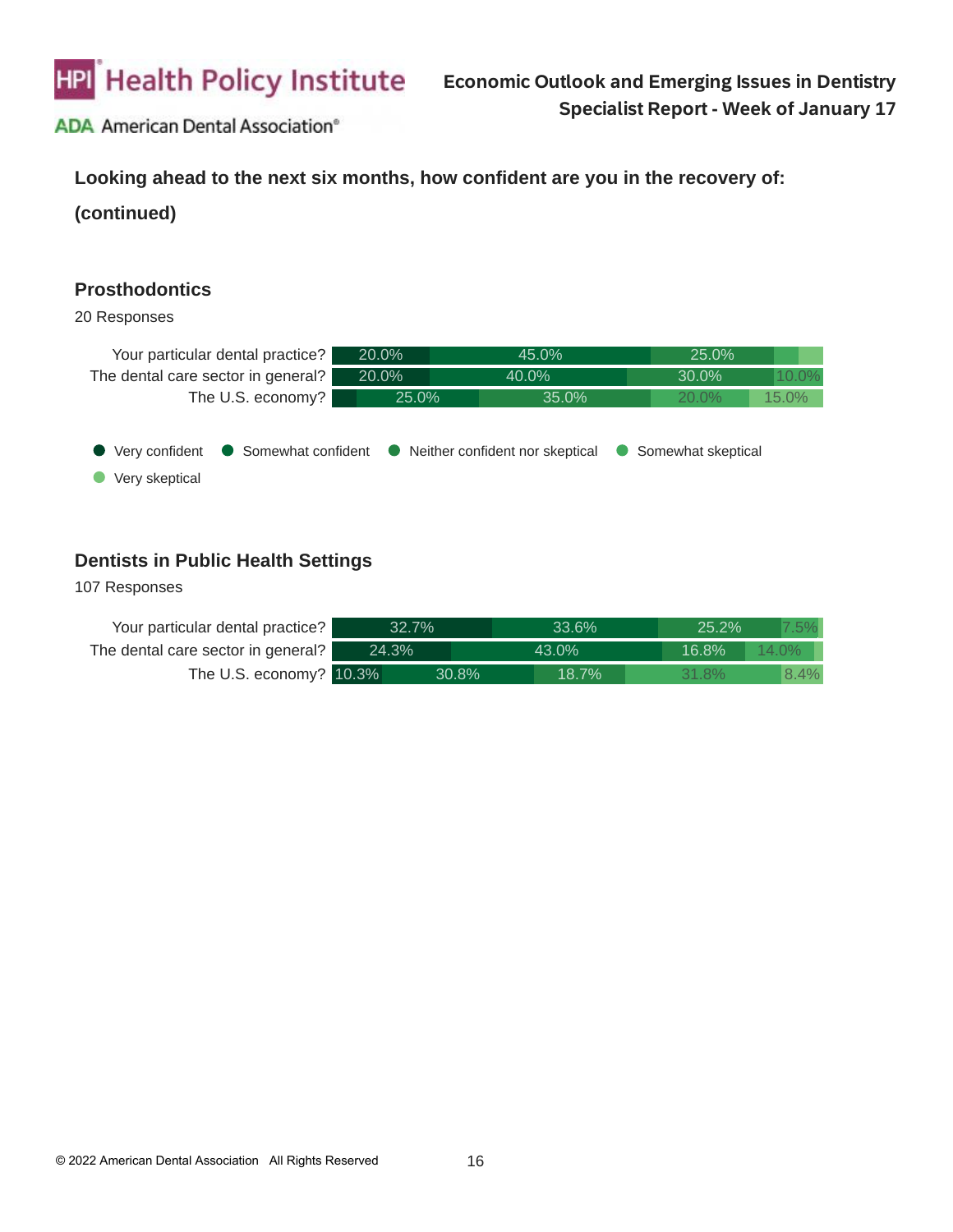

#### **Looking ahead to the next six months, how confident are you in the recovery of:**

**(continued)**

#### **Prosthodontics**

#### 20 Responses



### **Dentists in Public Health Settings**

| Your particular dental practice?   | 32.7% |       |       | 33.6% |  | 25.2% |          |      |
|------------------------------------|-------|-------|-------|-------|--|-------|----------|------|
| The dental care sector in general? |       | 24.3% |       | 43.0% |  | 16.8% | $14.0\%$ |      |
| The U.S. economy? 10.3%            |       |       | 30.8% | 18.7% |  | 31.8% |          | 8.4% |